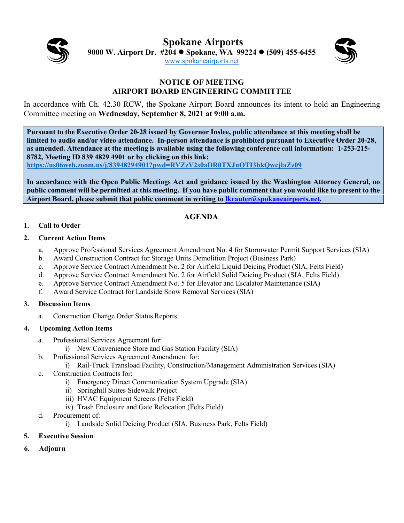

**Spokane Airports 9000 W. Airport Dr. #204 Spokane, WA 99224 (509) 455-6455** [www.spokaneairports.net](http://www.spokaneairports.net/)



#### **NOTICE OF MEETING AIRPORT BOARD ENGINEERING COMMITTEE**

In accordance with Ch. 42.30 RCW, the Spokane Airport Board announces its intent to hold an Engineering Committee meeting on **Wednesday, September 8, 2021 at 9:00 a.m.** 

**Pursuant to the Executive Order 20-28 issued by Governor Inslee, public attendance at this meeting shall be limited to audio and/or video attendance. In-person attendance is prohibited pursuant to Executive Order 20-28, as amended. Attendance at the meeting is available using the following conference call information: 1-253-215- 8782, Meeting ID 839 4829 4901 or by clicking on this link:** 

**<https://us06web.zoom.us/j/83948294901?pwd=RVZzV2s0aDR0TXJnOTI3bkQwcjlaZz09>**

**In accordance with the Open Public Meetings Act and guidance issued by the Washington Attorney General, no public comment will be permitted at this meeting. If you have public comment that you would like to present to the Airport Board, please submit that public comment in writing to [lkrauter@spokaneairports.net.](mailto:lkrauter@spokaneairports.net)**

## **AGENDA**

### **1. Call to Order**

#### **2. Current Action Items**

- a. Approve Professional Services Agreement Amendment No. 4 for Stormwater Permit Support Services (SIA)
- b. Award Construction Contract for Storage Units Demolition Project (Business Park)
- c. Approve Service Contract Amendment No. 2 for Airfield Liquid Deicing Product (SIA, Felts Field)
- d. Approve Service Contract Amendment No. 2 for Airfield Solid Deicing Product (SIA, Felts Field)
- e. Approve Service Contract Amendment No. 5 for Elevator and Escalator Maintenance (SIA)
- f. Award Service Contract for Landside Snow Removal Services (SIA)

#### **3. Discussion Items**

a. Construction Change Order Status Reports

#### **4. Upcoming Action Items**

- a. Professional Services Agreement for:
	- i) New Convenience Store and Gas Station Facility (SIA)
- b. Professional Services Agreement Amendment for:
	- i) Rail-Truck Transload Facility, Construction/Management Administration Services (SIA)
- c. Construction Contracts for:
	- i) Emergency Direct Communication System Upgrade (SIA)
	- ii) Springhill Suites Sidewalk Project
	- iii) HVAC Equipment Screens (Felts Field)
	- iv) Trash Enclosure and Gate Relocation (Felts Field)
- d. Procurement of:
	- i) Landside Solid Deicing Product (SIA, Business Park, Felts Field)
- **5. Executive Session**
- **6. Adjourn**